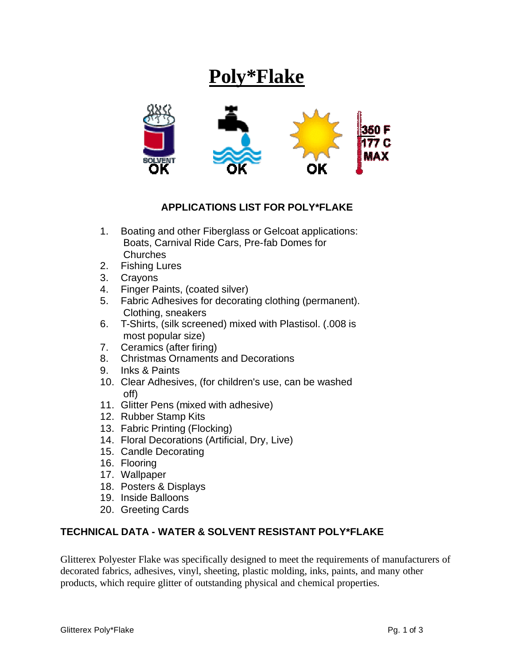## **Poly\*Flake**



## **APPLICATIONS LIST FOR POLY\*FLAKE**

- 1. Boating and other Fiberglass or Gelcoat applications: Boats, Carnival Ride Cars, Pre-fab Domes for **Churches**
- 2. Fishing Lures
- 3. Crayons
- 4. Finger Paints, (coated silver)
- 5. Fabric Adhesives for decorating clothing (permanent). Clothing, sneakers
- 6. T-Shirts, (silk screened) mixed with Plastisol. (.008 is most popular size)
- 7. Ceramics (after firing)
- 8. Christmas Ornaments and Decorations
- 9. Inks & Paints
- 10. Clear Adhesives, (for children's use, can be washed off)
- 11. Glitter Pens (mixed with adhesive)
- 12. Rubber Stamp Kits
- 13. Fabric Printing (Flocking)
- 14. Floral Decorations (Artificial, Dry, Live)
- 15. Candle Decorating
- 16. Flooring
- 17. Wallpaper
- 18. Posters & Displays
- 19. Inside Balloons
- 20. Greeting Cards

## **TECHNICAL DATA - WATER & SOLVENT RESISTANT POLY\*FLAKE**

Glitterex Polyester Flake was specifically designed to meet the requirements of manufacturers of decorated fabrics, adhesives, vinyl, sheeting, plastic molding, inks, paints, and many other products, which require glitter of outstanding physical and chemical properties.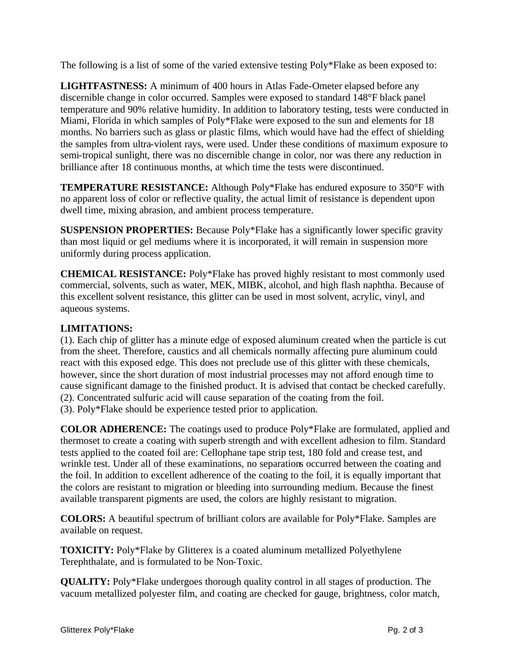The following is a list of some of the varied extensive testing Poly\*Flake as been exposed to:

**LIGHTFASTNESS:** A minimum of 400 hours in Atlas Fade-Ometer elapsed before any discernible change in color occurred. Samples were exposed to standard 148°F black panel temperature and 90% relative humidity. In addition to laboratory testing, tests were conducted in Miami, Florida in which samples of Poly\*Flake were exposed to the sun and elements for 18 months. No barriers such as glass or plastic films, which would have had the effect of shielding the samples from ultra-violent rays, were used. Under these conditions of maximum exposure to semi-tropical sunlight, there was no discernible change in color, nor was there any reduction in brilliance after 18 continuous months, at which time the tests were discontinued.

**TEMPERATURE RESISTANCE:** Although Poly\*Flake has endured exposure to 350°F with no apparent loss of color or reflective quality, the actual limit of resistance is dependent upon dwell time, mixing abrasion, and ambient process temperature.

**SUSPENSION PROPERTIES:** Because Poly\*Flake has a significantly lower specific gravity than most liquid or gel mediums where it is incorporated, it will remain in suspension more uniformly during process application.

**CHEMICAL RESISTANCE:** Poly\*Flake has proved highly resistant to most commonly used commercial, solvents, such as water, MEK, MIBK, alcohol, and high flash naphtha. Because of this excellent solvent resistance, this glitter can be used in most solvent, acrylic, vinyl, and aqueous systems.

## **LIMITATIONS:**

(1). Each chip of glitter has a minute edge of exposed aluminum created when the particle is cut from the sheet. Therefore, caustics and all chemicals normally affecting pure aluminum could react with this exposed edge. This does not preclude use of this glitter with these chemicals, however, since the short duration of most industrial processes may not afford enough time to cause significant damage to the finished product. It is advised that contact be checked carefully. (2). Concentrated sulfuric acid will cause separation of the coating from the foil. (3). Poly\*Flake should be experience tested prior to application.

**COLOR ADHERENCE:** The coatings used to produce Poly\*Flake are formulated, applied and thermoset to create a coating with superb strength and with excellent adhesion to film. Standard tests applied to the coated foil are: Cellophane tape strip test, 180 fold and crease test, and wrinkle test. Under all of these examinations, no separations occurred between the coating and the foil. In addition to excellent adherence of the coating to the foil, it is equally important that the colors are resistant to migration or bleeding into surrounding medium. Because the finest available transparent pigments are used, the colors are highly resistant to migration.

**COLORS:** A beautiful spectrum of brilliant colors are available for Poly\*Flake. Samples are available on request.

**TOXICITY:** Poly\*Flake by Glitterex is a coated aluminum metallized Polyethylene Terephthalate, and is formulated to be Non-Toxic.

**QUALITY:** Poly\*Flake undergoes thorough quality control in all stages of production. The vacuum metallized polyester film, and coating are checked for gauge, brightness, color match,